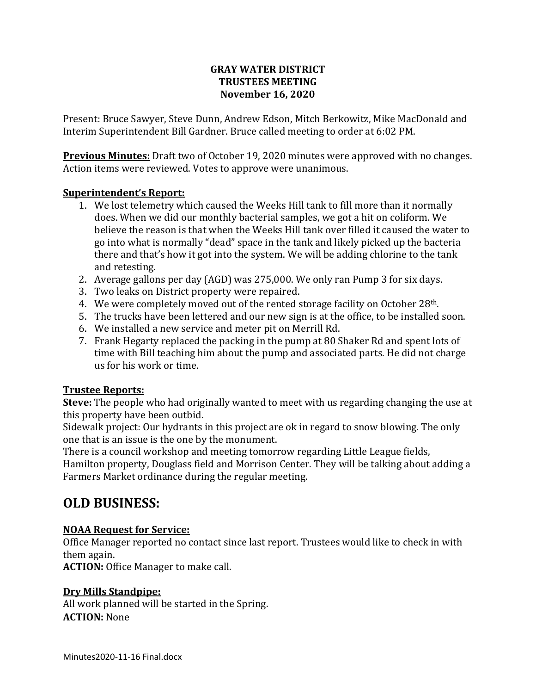### **GRAY WATER DISTRICT TRUSTEES MEETING November 16, 2020**

Present: Bruce Sawyer, Steve Dunn, Andrew Edson, Mitch Berkowitz, Mike MacDonald and Interim Superintendent Bill Gardner. Bruce called meeting to order at 6:02 PM.

**Previous Minutes:** Draft two of October 19, 2020 minutes were approved with no changes. Action items were reviewed. Votes to approve were unanimous.

### **Superintendent's Report:**

- 1. We lost telemetry which caused the Weeks Hill tank to fill more than it normally does. When we did our monthly bacterial samples, we got a hit on coliform. We believe the reason is that when the Weeks Hill tank over filled it caused the water to go into what is normally "dead" space in the tank and likely picked up the bacteria there and that's how it got into the system. We will be adding chlorine to the tank and retesting.
- 2. Average gallons per day (AGD) was 275,000. We only ran Pump 3 for six days.
- 3. Two leaks on District property were repaired.
- 4. We were completely moved out of the rented storage facility on October 28<sup>th</sup>.
- 5. The trucks have been lettered and our new sign is at the office, to be installed soon.
- 6. We installed a new service and meter pit on Merrill Rd.
- 7. Frank Hegarty replaced the packing in the pump at 80 Shaker Rd and spent lots of time with Bill teaching him about the pump and associated parts. He did not charge us for his work or time.

# **Trustee Reports:**

**Steve:** The people who had originally wanted to meet with us regarding changing the use at this property have been outbid.

Sidewalk project: Our hydrants in this project are ok in regard to snow blowing. The only one that is an issue is the one by the monument.

There is a council workshop and meeting tomorrow regarding Little League fields,

Hamilton property, Douglass field and Morrison Center. They will be talking about adding a Farmers Market ordinance during the regular meeting.

# **OLD BUSINESS:**

# **NOAA Request for Service:**

Office Manager reported no contact since last report. Trustees would like to check in with them again.

**ACTION:** Office Manager to make call.

# **Dry Mills Standpipe:**

All work planned will be started in the Spring. **ACTION:** None